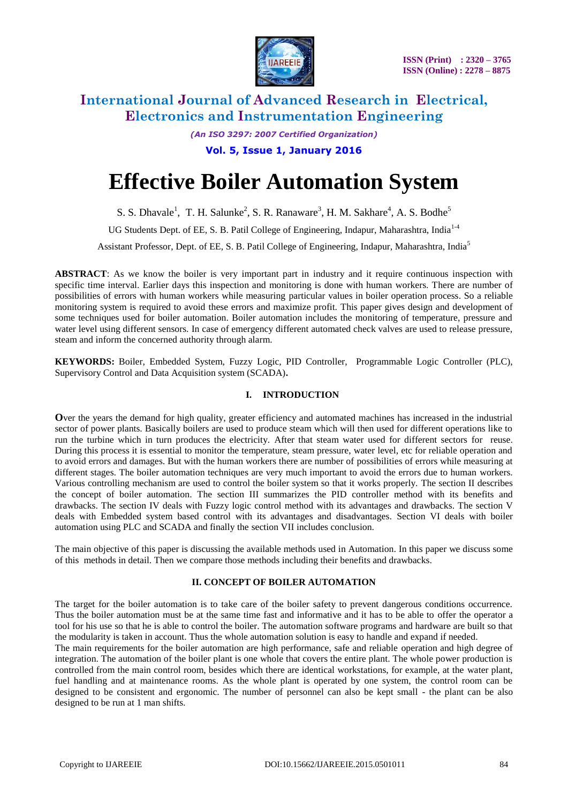

*(An ISO 3297: 2007 Certified Organization)* **Vol. 5, Issue 1, January 2016**

# **Effective Boiler Automation System**

S. S. Dhavale<sup>1</sup>, T. H. Salunke<sup>2</sup>, S. R. Ranaware<sup>3</sup>, H. M. Sakhare<sup>4</sup>, A. S. Bodhe<sup>5</sup>

UG Students Dept. of EE, S. B. Patil College of Engineering, Indapur, Maharashtra, India<sup>1-4</sup>

Assistant Professor, Dept. of EE, S. B. Patil College of Engineering, Indapur, Maharashtra, India<sup>5</sup>

**ABSTRACT**: As we know the boiler is very important part in industry and it require continuous inspection with specific time interval. Earlier days this inspection and monitoring is done with human workers. There are number of possibilities of errors with human workers while measuring particular values in boiler operation process. So a reliable monitoring system is required to avoid these errors and maximize profit. This paper gives design and development of some techniques used for boiler automation. Boiler automation includes the monitoring of temperature, pressure and water level using different sensors. In case of emergency different automated check valves are used to release pressure, steam and inform the concerned authority through alarm.

**KEYWORDS:** Boiler, Embedded System, Fuzzy Logic, PID Controller, Programmable Logic Controller (PLC), Supervisory Control and Data Acquisition system (SCADA)**.**

# **I. INTRODUCTION**

**O**ver the years the demand for high quality, greater efficiency and automated machines has increased in the industrial sector of power plants. Basically boilers are used to produce steam which will then used for different operations like to run the turbine which in turn produces the electricity. After that steam water used for different sectors for reuse. During this process it is essential to monitor the temperature, steam pressure, water level, etc for reliable operation and to avoid errors and damages. But with the human workers there are number of possibilities of errors while measuring at different stages. The boiler automation techniques are very much important to avoid the errors due to human workers. Various controlling mechanism are used to control the boiler system so that it works properly. The section II describes the concept of boiler automation. The section III summarizes the PID controller method with its benefits and drawbacks. The section IV deals with Fuzzy logic control method with its advantages and drawbacks. The section V deals with Embedded system based control with its advantages and disadvantages. Section VI deals with boiler automation using PLC and SCADA and finally the section VII includes conclusion.

The main objective of this paper is discussing the available methods used in Automation. In this paper we discuss some of this methods in detail. Then we compare those methods including their benefits and drawbacks.

## **II. CONCEPT OF BOILER AUTOMATION**

The target for the boiler automation is to take care of the boiler safety to prevent dangerous conditions occurrence. Thus the boiler automation must be at the same time fast and informative and it has to be able to offer the operator a tool for his use so that he is able to control the boiler. The automation software programs and hardware are built so that the modularity is taken in account. Thus the whole automation solution is easy to handle and expand if needed.

The main requirements for the boiler automation are high performance, safe and reliable operation and high degree of integration. The automation of the boiler plant is one whole that covers the entire plant. The whole power production is controlled from the main control room, besides which there are identical workstations, for example, at the water plant, fuel handling and at maintenance rooms. As the whole plant is operated by one system, the control room can be designed to be consistent and ergonomic. The number of personnel can also be kept small - the plant can be also designed to be run at 1 man shifts.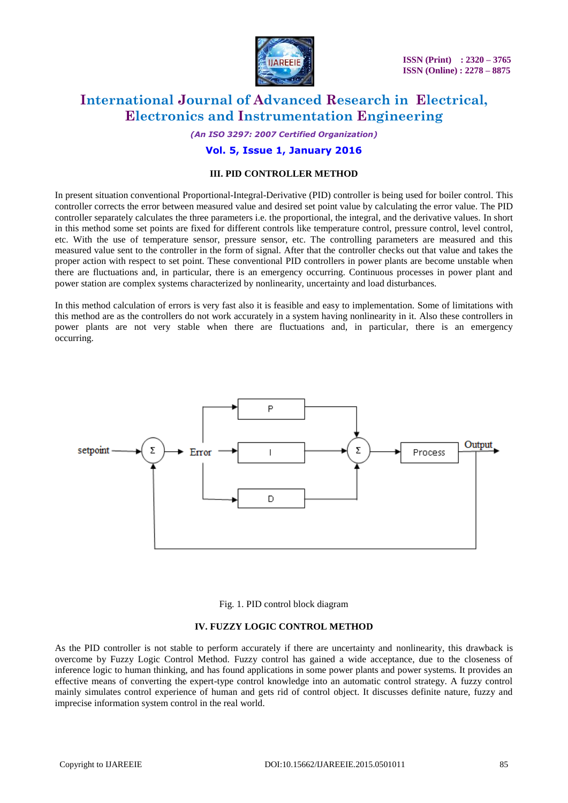

*(An ISO 3297: 2007 Certified Organization)*

## **Vol. 5, Issue 1, January 2016**

## **III. PID CONTROLLER METHOD**

In present situation conventional Proportional-Integral-Derivative (PID) controller is being used for boiler control. This controller corrects the error between measured value and desired set point value by calculating the error value. The PID controller separately calculates the three parameters i.e. the proportional, the integral, and the derivative values. In short in this method some set points are fixed for different controls like temperature control, pressure control, level control, etc. With the use of temperature sensor, pressure sensor, etc. The controlling parameters are measured and this measured value sent to the controller in the form of signal. After that the controller checks out that value and takes the proper action with respect to set point. These conventional PID controllers in power plants are become unstable when there are fluctuations and, in particular, there is an emergency occurring. Continuous processes in power plant and power station are complex systems characterized by nonlinearity, uncertainty and load disturbances.

In this method calculation of errors is very fast also it is feasible and easy to implementation. Some of limitations with this method are as the controllers do not work accurately in a system having nonlinearity in it. Also these controllers in power plants are not very stable when there are fluctuations and, in particular, there is an emergency occurring.



#### Fig. 1. PID control block diagram

#### **IV. FUZZY LOGIC CONTROL METHOD**

As the PID controller is not stable to perform accurately if there are uncertainty and nonlinearity, this drawback is overcome by Fuzzy Logic Control Method. Fuzzy control has gained a wide acceptance, due to the closeness of inference logic to human thinking, and has found applications in some power plants and power systems. It provides an effective means of converting the expert-type control knowledge into an automatic control strategy. A fuzzy control mainly simulates control experience of human and gets rid of control object. It discusses definite nature, fuzzy and imprecise information system control in the real world.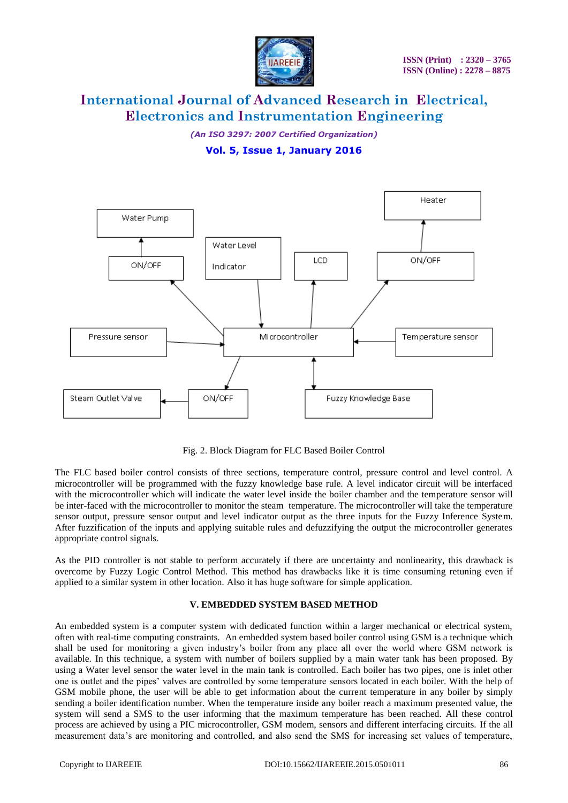

*(An ISO 3297: 2007 Certified Organization)*

# **Vol. 5, Issue 1, January 2016**



Fig. 2. Block Diagram for FLC Based Boiler Control

The FLC based boiler control consists of three sections, temperature control, pressure control and level control. A microcontroller will be programmed with the fuzzy knowledge base rule. A level indicator circuit will be interfaced with the microcontroller which will indicate the water level inside the boiler chamber and the temperature sensor will be inter-faced with the microcontroller to monitor the steam temperature. The microcontroller will take the temperature sensor output, pressure sensor output and level indicator output as the three inputs for the Fuzzy Inference System. After fuzzification of the inputs and applying suitable rules and defuzzifying the output the microcontroller generates appropriate control signals.

As the PID controller is not stable to perform accurately if there are uncertainty and nonlinearity, this drawback is overcome by Fuzzy Logic Control Method. This method has drawbacks like it is time consuming retuning even if applied to a similar system in other location. Also it has huge software for simple application.

## **V. EMBEDDED SYSTEM BASED METHOD**

An embedded system is a computer system with dedicated function within a larger mechanical or electrical system, often with real-time computing constraints. An embedded system based boiler control using GSM is a technique which shall be used for monitoring a given industry's boiler from any place all over the world where GSM network is available. In this technique, a system with number of boilers supplied by a main water tank has been proposed. By using a Water level sensor the water level in the main tank is controlled. Each boiler has two pipes, one is inlet other one is outlet and the pipes' valves are controlled by some temperature sensors located in each boiler. With the help of GSM mobile phone, the user will be able to get information about the current temperature in any boiler by simply sending a boiler identification number. When the temperature inside any boiler reach a maximum presented value, the system will send a SMS to the user informing that the maximum temperature has been reached. All these control process are achieved by using a PIC microcontroller, GSM modem, sensors and different interfacing circuits. If the all measurement data's are monitoring and controlled, and also send the SMS for increasing set values of temperature,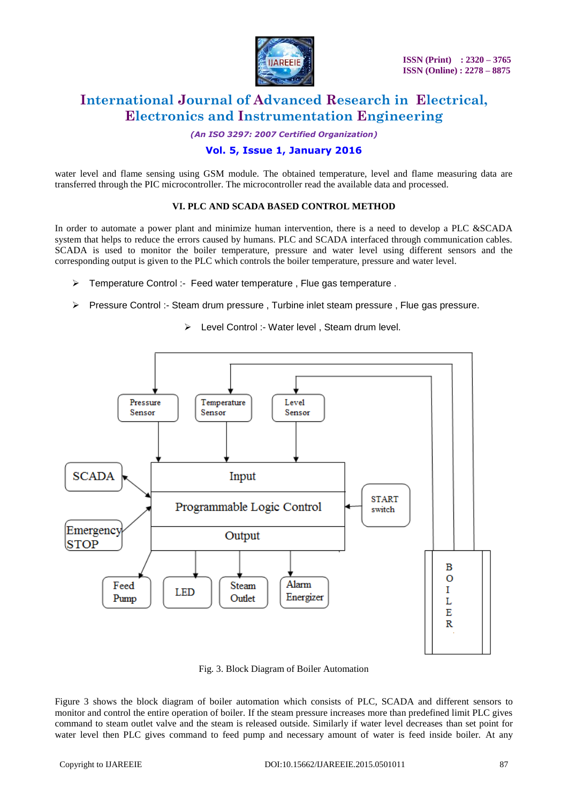

*(An ISO 3297: 2007 Certified Organization)*

# **Vol. 5, Issue 1, January 2016**

water level and flame sensing using GSM module. The obtained temperature, level and flame measuring data are transferred through the PIC microcontroller. The microcontroller read the available data and processed.

#### **VI. PLC AND SCADA BASED CONTROL METHOD**

In order to automate a power plant and minimize human intervention, there is a need to develop a PLC &SCADA system that helps to reduce the errors caused by humans. PLC and SCADA interfaced through communication cables. SCADA is used to monitor the boiler temperature, pressure and water level using different sensors and the corresponding output is given to the PLC which controls the boiler temperature, pressure and water level.

- $\triangleright$  Temperature Control :- Feed water temperature . Flue gas temperature .
- Pressure Control :- Steam drum pressure, Turbine inlet steam pressure, Flue gas pressure.



> Level Control :- Water level, Steam drum level.

Fig. 3. Block Diagram of Boiler Automation

Figure 3 shows the block diagram of boiler automation which consists of PLC, SCADA and different sensors to monitor and control the entire operation of boiler. If the steam pressure increases more than predefined limit PLC gives command to steam outlet valve and the steam is released outside. Similarly if water level decreases than set point for water level then PLC gives command to feed pump and necessary amount of water is feed inside boiler. At any